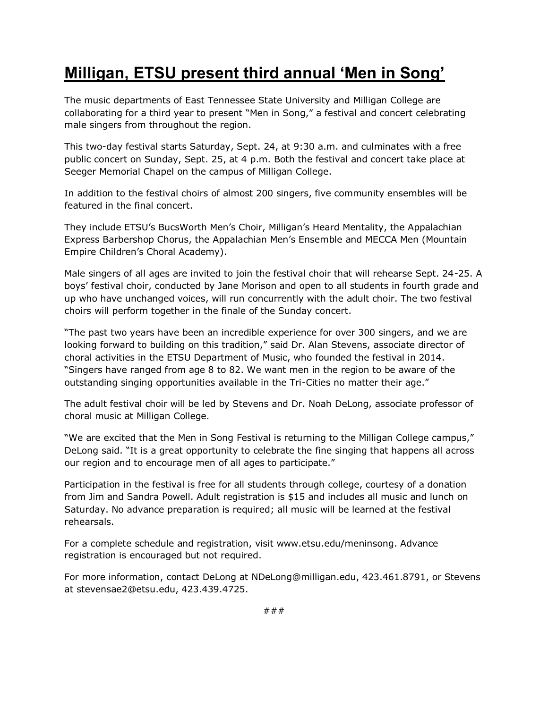## **Milligan, ETSU present third annual 'Men in Song'**

The music departments of East Tennessee State University and Milligan College are collaborating for a third year to present "Men in Song," a festival and concert celebrating male singers from throughout the region.

This two-day festival starts Saturday, Sept. 24, at 9:30 a.m. and culminates with a free public concert on Sunday, Sept. 25, at 4 p.m. Both the festival and concert take place at Seeger Memorial Chapel on the campus of Milligan College.

In addition to the festival choirs of almost 200 singers, five community ensembles will be featured in the final concert.

They include ETSU's BucsWorth Men's Choir, Milligan's Heard Mentality, the Appalachian Express Barbershop Chorus, the Appalachian Men's Ensemble and MECCA Men (Mountain Empire Children's Choral Academy).

Male singers of all ages are invited to join the festival choir that will rehearse Sept. 24-25. A boys' festival choir, conducted by Jane Morison and open to all students in fourth grade and up who have unchanged voices, will run concurrently with the adult choir. The two festival choirs will perform together in the finale of the Sunday concert.

"The past two years have been an incredible experience for over 300 singers, and we are looking forward to building on this tradition," said Dr. Alan Stevens, associate director of choral activities in the ETSU Department of Music, who founded the festival in 2014. "Singers have ranged from age 8 to 82. We want men in the region to be aware of the outstanding singing opportunities available in the Tri-Cities no matter their age."

The adult festival choir will be led by Stevens and Dr. Noah DeLong, associate professor of choral music at Milligan College.

"We are excited that the Men in Song Festival is returning to the Milligan College campus," DeLong said. "It is a great opportunity to celebrate the fine singing that happens all across our region and to encourage men of all ages to participate."

Participation in the festival is free for all students through college, courtesy of a donation from Jim and Sandra Powell. Adult registration is \$15 and includes all music and lunch on Saturday. No advance preparation is required; all music will be learned at the festival rehearsals.

For a complete schedule and registration, visit www.etsu.edu/meninsong. Advance registration is encouraged but not required.

For more information, contact DeLong at NDeLong@milligan.edu, 423.461.8791, or Stevens at stevensae2@etsu.edu, 423.439.4725.